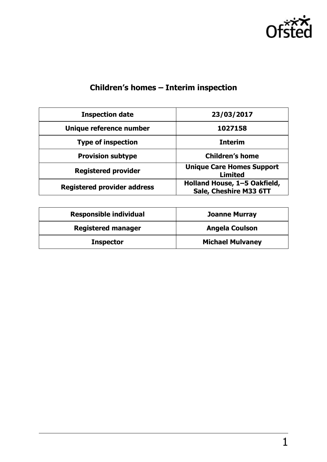

# **Children's homes – Interim inspection**

| <b>Inspection date</b>             | 23/03/2017                                             |  |
|------------------------------------|--------------------------------------------------------|--|
| Unique reference number            | 1027158                                                |  |
| <b>Type of inspection</b>          | <b>Interim</b>                                         |  |
| <b>Provision subtype</b>           | <b>Children's home</b>                                 |  |
| <b>Registered provider</b>         | <b>Unique Care Homes Support</b><br><b>Limited</b>     |  |
| <b>Registered provider address</b> | Holland House, 1-5 Oakfield,<br>Sale, Cheshire M33 6TT |  |

| <b>Responsible individual</b> | <b>Joanne Murray</b>    |
|-------------------------------|-------------------------|
| <b>Registered manager</b>     | <b>Angela Coulson</b>   |
| <b>Inspector</b>              | <b>Michael Mulvaney</b> |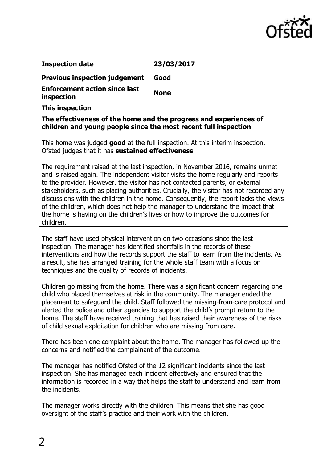

| <b>Inspection date</b>                             | 23/03/2017  |
|----------------------------------------------------|-------------|
| <b>Previous inspection judgement</b>               | Good        |
| <b>Enforcement action since last</b><br>inspection | <b>None</b> |

**This inspection**

**The effectiveness of the home and the progress and experiences of children and young people since the most recent full inspection**

This home was judged **good** at the full inspection. At this interim inspection, Ofsted judges that it has **sustained effectiveness**.

The requirement raised at the last inspection, in November 2016, remains unmet and is raised again. The independent visitor visits the home regularly and reports to the provider. However, the visitor has not contacted parents, or external stakeholders, such as placing authorities. Crucially, the visitor has not recorded any discussions with the children in the home. Consequently, the report lacks the views of the children, which does not help the manager to understand the impact that the home is having on the children's lives or how to improve the outcomes for children.

The staff have used physical intervention on two occasions since the last inspection. The manager has identified shortfalls in the records of these interventions and how the records support the staff to learn from the incidents. As a result, she has arranged training for the whole staff team with a focus on techniques and the quality of records of incidents.

Children go missing from the home. There was a significant concern regarding one child who placed themselves at risk in the community. The manager ended the placement to safeguard the child. Staff followed the missing-from-care protocol and alerted the police and other agencies to support the child's prompt return to the home. The staff have received training that has raised their awareness of the risks of child sexual exploitation for children who are missing from care.

There has been one complaint about the home. The manager has followed up the concerns and notified the complainant of the outcome.

The manager has notified Ofsted of the 12 significant incidents since the last inspection. She has managed each incident effectively and ensured that the information is recorded in a way that helps the staff to understand and learn from the incidents.

The manager works directly with the children. This means that she has good oversight of the staff's practice and their work with the children.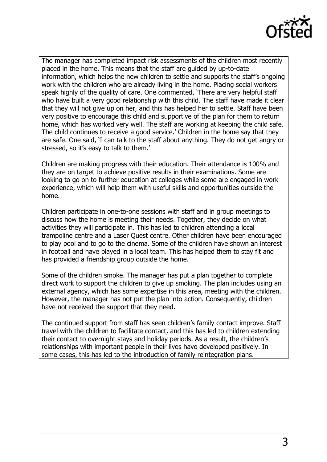

The manager has completed impact risk assessments of the children most recently placed in the home. This means that the staff are guided by up-to-date information, which helps the new children to settle and supports the staff's ongoing work with the children who are already living in the home. Placing social workers speak highly of the quality of care. One commented, 'There are very helpful staff who have built a very good relationship with this child. The staff have made it clear that they will not give up on her, and this has helped her to settle. Staff have been very positive to encourage this child and supportive of the plan for them to return home, which has worked very well. The staff are working at keeping the child safe. The child continues to receive a good service.' Children in the home say that they are safe. One said, 'I can talk to the staff about anything. They do not get angry or stressed, so it's easy to talk to them.'

Children are making progress with their education. Their attendance is 100% and they are on target to achieve positive results in their examinations. Some are looking to go on to further education at colleges while some are engaged in work experience, which will help them with useful skills and opportunities outside the home.

Children participate in one-to-one sessions with staff and in group meetings to discuss how the home is meeting their needs. Together, they decide on what activities they will participate in. This has led to children attending a local trampoline centre and a Laser Quest centre. Other children have been encouraged to play pool and to go to the cinema. Some of the children have shown an interest in football and have played in a local team. This has helped them to stay fit and has provided a friendship group outside the home.

Some of the children smoke. The manager has put a plan together to complete direct work to support the children to give up smoking. The plan includes using an external agency, which has some expertise in this area, meeting with the children. However, the manager has not put the plan into action. Consequently, children have not received the support that they need.

The continued support from staff has seen children's family contact improve. Staff travel with the children to facilitate contact, and this has led to children extending their contact to overnight stays and holiday periods. As a result, the children's relationships with important people in their lives have developed positively. In some cases, this has led to the introduction of family reintegration plans.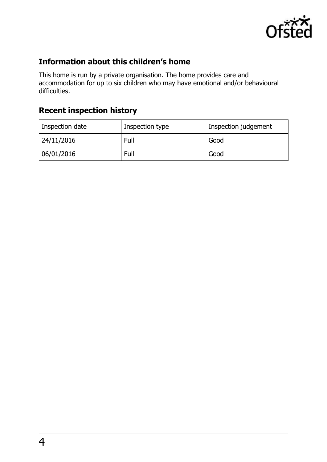

# **Information about this children's home**

This home is run by a private organisation. The home provides care and accommodation for up to six children who may have emotional and/or behavioural difficulties.

# **Recent inspection history**

| Inspection date | Inspection type | Inspection judgement |
|-----------------|-----------------|----------------------|
| 24/11/2016      | Full            | Good                 |
| 06/01/2016      | Full            | Good                 |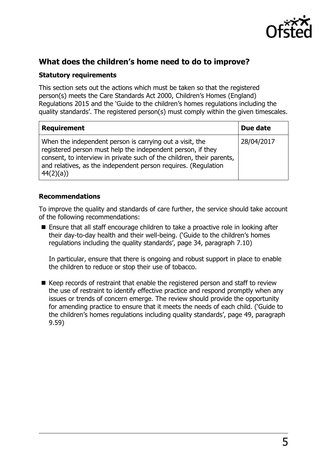

# **What does the children's home need to do to improve?**

#### **Statutory requirements**

This section sets out the actions which must be taken so that the registered person(s) meets the Care Standards Act 2000, Children's Homes (England) Regulations 2015 and the 'Guide to the children's homes regulations including the quality standards'. The registered person(s) must comply within the given timescales.

| <b>Requirement</b>                                                                                                                                                                                                                                                             | Due date   |
|--------------------------------------------------------------------------------------------------------------------------------------------------------------------------------------------------------------------------------------------------------------------------------|------------|
| When the independent person is carrying out a visit, the<br>registered person must help the independent person, if they<br>consent, to interview in private such of the children, their parents,<br>and relatives, as the independent person requires. (Regulation<br>44(2)(a) | 28/04/2017 |

#### **Recommendations**

To improve the quality and standards of care further, the service should take account of the following recommendations:

 Ensure that all staff encourage children to take a proactive role in looking after their day-to-day health and their well-being. ('Guide to the children's homes regulations including the quality standards', page 34, paragraph 7.10)

In particular, ensure that there is ongoing and robust support in place to enable the children to reduce or stop their use of tobacco.

 $\blacksquare$  Keep records of restraint that enable the registered person and staff to review the use of restraint to identify effective practice and respond promptly when any issues or trends of concern emerge. The review should provide the opportunity for amending practice to ensure that it meets the needs of each child. ('Guide to the children's homes regulations including quality standards', page 49, paragraph 9.59)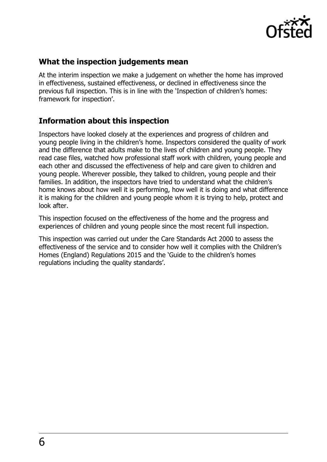

### **What the inspection judgements mean**

At the interim inspection we make a judgement on whether the home has improved in effectiveness, sustained effectiveness, or declined in effectiveness since the previous full inspection. This is in line with the 'Inspection of children's homes: framework for inspection'.

### **Information about this inspection**

Inspectors have looked closely at the experiences and progress of children and young people living in the children's home. Inspectors considered the quality of work and the difference that adults make to the lives of children and young people. They read case files, watched how professional staff work with children, young people and each other and discussed the effectiveness of help and care given to children and young people. Wherever possible, they talked to children, young people and their families. In addition, the inspectors have tried to understand what the children's home knows about how well it is performing, how well it is doing and what difference it is making for the children and young people whom it is trying to help, protect and look after.

This inspection focused on the effectiveness of the home and the progress and experiences of children and young people since the most recent full inspection.

This inspection was carried out under the Care Standards Act 2000 to assess the effectiveness of the service and to consider how well it complies with the Children's Homes (England) Regulations 2015 and the 'Guide to the children's homes regulations including the quality standards'.